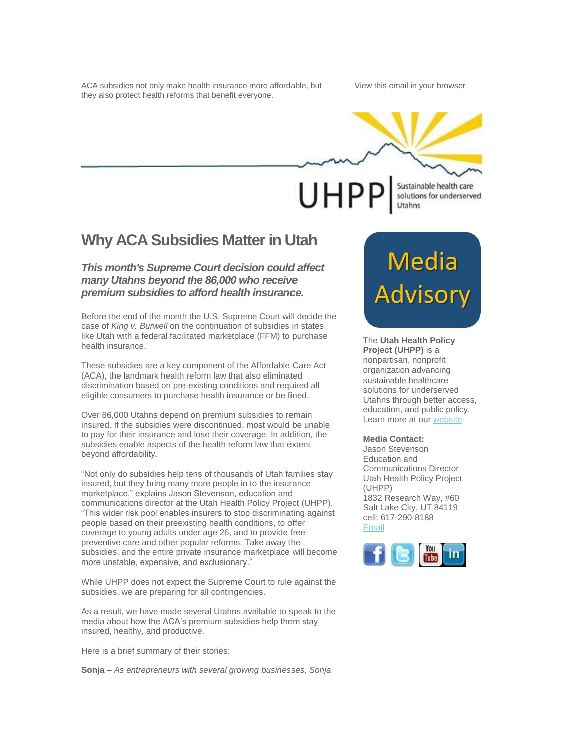ACA subsidies not only make health insurance more affordable, but they also protect health reforms that benefit everyone.

[View this email in your browser](http://us1.campaign-archive2.com/?u=656a6686e0e46fdadf04f0a2e&id=750bdc7908&e=%5bUNIQID%5d)



Sustainable health care UHPP solutions for underserved Utahns

# **Why ACA Subsidies Matter in Utah**

## *This month's Supreme Court decision could affect many Utahns beyond the 86,000 who receive premium subsidies to afford health insurance.*

Before the end of the month the U.S. Supreme Court will decide the case of *King v. Burwell* on the continuation of subsidies in states like Utah with a federal facilitated marketplace (FFM) to purchase health insurance.

These subsidies are a key component of the Affordable Care Act (ACA), the landmark health reform law that also eliminated discrimination based on pre-existing conditions and required all eligible consumers to purchase health insurance or be fined.

Over 86,000 Utahns depend on premium subsidies to remain insured. If the subsidies were discontinued, most would be unable to pay for their insurance and lose their coverage. In addition, the subsidies enable aspects of the health reform law that extent beyond affordability.

"Not only do subsidies help tens of thousands of Utah families stay insured, but they bring many more people in to the insurance marketplace," explains Jason Stevenson, education and communications director at the Utah Health Policy Project (UHPP). "This wider risk pool enables insurers to stop discriminating against people based on their preexisting health conditions, to offer coverage to young adults under age 26, and to provide free preventive care and other popular reforms. Take away the subsidies, and the entire private insurance marketplace will become more unstable, expensive, and exclusionary."

While UHPP does not expect the Supreme Court to rule against the subsidies, we are preparing for all contingencies.

As a result, we have made several Utahns available to speak to the media about how the ACA's premium subsidies help them stay insured, healthy, and productive.

Here is a brief summary of their stories:

**Sonja** – *As entrepreneurs with several growing businesses, Sonja* 

# **Media**<br>Advisory

The **Utah Health Policy Project (UHPP)** is a nonpartisan, nonprofit organization advancing sustainable healthcare solutions for underserved Utahns through better access, education, and public policy. Learn more at ou[r website](http://www.healthpolicyproject.org/)

### **Media Contact:**

Jason Stevenson Education and Communications Director Utah Health Policy Project (UHPP) 1832 Research Way, #60 Salt Lake City, UT 84119 cell: 617-290-8188 [Email](mailto:stevenson@healthpolicyproject.org?subject=re%3A%20Media%20Advisory)

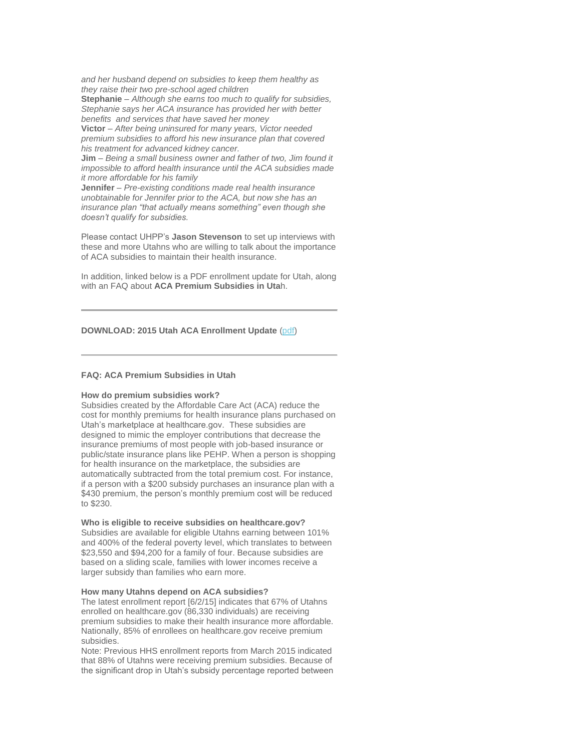*and her husband depend on subsidies to keep them healthy as they raise their two pre-school aged children*

**Stephanie** – *Although she earns too much to qualify for subsidies, Stephanie says her ACA insurance has provided her with better benefits and services that have saved her money*

**Victor** – *After being uninsured for many years, Victor needed premium subsidies to afford his new insurance plan that covered his treatment for advanced kidney cancer.*

**Jim** – *Being a small business owner and father of two, Jim found it impossible to afford health insurance until the ACA subsidies made it more affordable for his family*

**Jennifer** – *Pre-existing conditions made real health insurance unobtainable for Jennifer prior to the ACA, but now she has an insurance plan "that actually means something" even though she doesn't qualify for subsidies.* 

Please contact UHPP's **Jason Stevenson** to set up interviews with these and more Utahns who are willing to talk about the importance of ACA subsidies to maintain their health insurance.

In addition, linked below is a PDF enrollment update for Utah, along with an FAQ about **ACA Premium Subsidies in Uta**h.

### **DOWNLOAD: 2015 Utah ACA Enrollment Update** [\(pdf\)](http://www.healthpolicyproject.org/wp-content/uploads/2015-Utah-ACA-Enrollment-Update.pdf)

### **FAQ: ACA Premium Subsidies in Utah**

### **How do premium subsidies work?**

Subsidies created by the Affordable Care Act (ACA) reduce the cost for monthly premiums for health insurance plans purchased on Utah's marketplace at healthcare.gov. These subsidies are designed to mimic the employer contributions that decrease the insurance premiums of most people with job-based insurance or public/state insurance plans like PEHP. When a person is shopping for health insurance on the marketplace, the subsidies are automatically subtracted from the total premium cost. For instance, if a person with a \$200 subsidy purchases an insurance plan with a \$430 premium, the person's monthly premium cost will be reduced to \$230.

### **Who is eligible to receive subsidies on healthcare.gov?**

Subsidies are available for eligible Utahns earning between 101% and 400% of the federal poverty level, which translates to between \$23,550 and \$94,200 for a family of four. Because subsidies are based on a sliding scale, families with lower incomes receive a larger subsidy than families who earn more.

### **How many Utahns depend on ACA subsidies?**

The latest enrollment report [6/2/15] indicates that 67% of Utahns enrolled on healthcare.gov (86,330 individuals) are receiving premium subsidies to make their health insurance more affordable. Nationally, 85% of enrollees on healthcare.gov receive premium subsidies.

Note: Previous HHS enrollment reports from March 2015 indicated that 88% of Utahns were receiving premium subsidies. Because of the significant drop in Utah's subsidy percentage reported between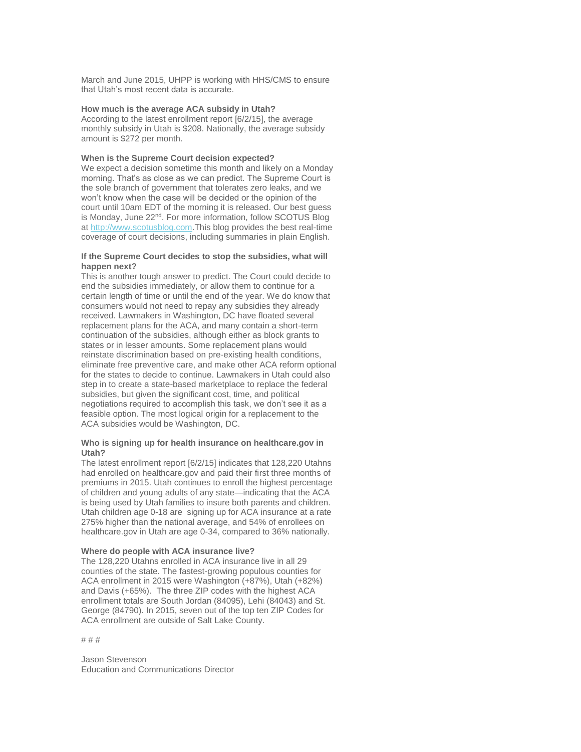March and June 2015, UHPP is working with HHS/CMS to ensure that Utah's most recent data is accurate.

### **How much is the average ACA subsidy in Utah?**

According to the latest enrollment report [6/2/15], the average monthly subsidy in Utah is \$208. Nationally, the average subsidy amount is \$272 per month.

### **When is the Supreme Court decision expected?**

We expect a decision sometime this month and likely on a Monday morning. That's as close as we can predict. The Supreme Court is the sole branch of government that tolerates zero leaks, and we won't know when the case will be decided or the opinion of the court until 10am EDT of the morning it is released. Our best guess is Monday, June 22<sup>nd</sup>. For more information, follow SCOTUS Blog a[t http://www.scotusblog.com.](http://www.scotusblog.com/) This blog provides the best real-time coverage of court decisions, including summaries in plain English.

### **If the Supreme Court decides to stop the subsidies, what will happen next?**

This is another tough answer to predict. The Court could decide to end the subsidies immediately, or allow them to continue for a certain length of time or until the end of the year. We do know that consumers would not need to repay any subsidies they already received. Lawmakers in Washington, DC have floated several replacement plans for the ACA, and many contain a short-term continuation of the subsidies, although either as block grants to states or in lesser amounts. Some replacement plans would reinstate discrimination based on pre-existing health conditions, eliminate free preventive care, and make other ACA reform optional for the states to decide to continue. Lawmakers in Utah could also step in to create a state-based marketplace to replace the federal subsidies, but given the significant cost, time, and political negotiations required to accomplish this task, we don't see it as a feasible option. The most logical origin for a replacement to the ACA subsidies would be Washington, DC.

### **Who is signing up for health insurance on healthcare.gov in Utah?**

The latest enrollment report [6/2/15] indicates that 128,220 Utahns had enrolled on healthcare.gov and paid their first three months of premiums in 2015. Utah continues to enroll the highest percentage of children and young adults of any state—indicating that the ACA is being used by Utah families to insure both parents and children. Utah children age 0-18 are signing up for ACA insurance at a rate 275% higher than the national average, and 54% of enrollees on healthcare.gov in Utah are age 0-34, compared to 36% nationally.

### **Where do people with ACA insurance live?**

The 128,220 Utahns enrolled in ACA insurance live in all 29 counties of the state. The fastest-growing populous counties for ACA enrollment in 2015 were Washington (+87%), Utah (+82%) and Davis (+65%). The three ZIP codes with the highest ACA enrollment totals are South Jordan (84095), Lehi (84043) and St. George (84790). In 2015, seven out of the top ten ZIP Codes for ACA enrollment are outside of Salt Lake County.

# # #

Jason Stevenson Education and Communications Director